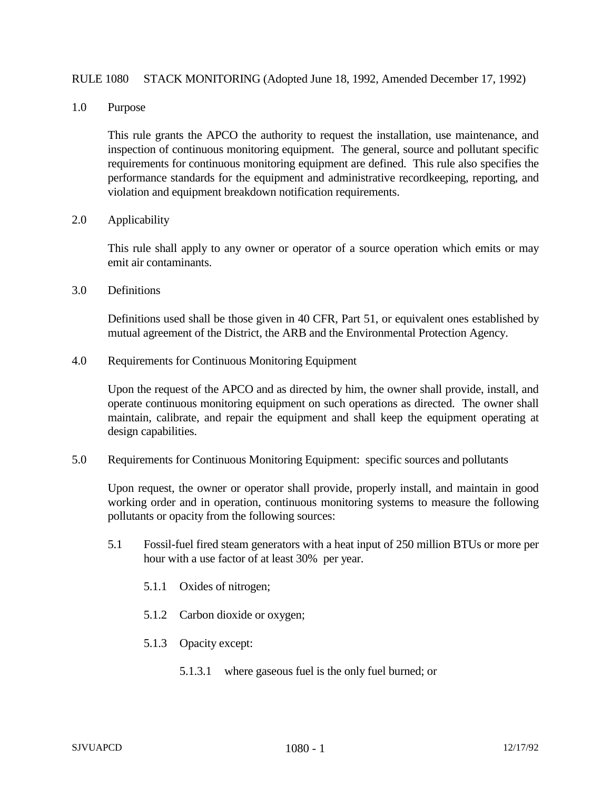## RULE 1080 STACK MONITORING (Adopted June 18, 1992, Amended December 17, 1992)

1.0 Purpose

This rule grants the APCO the authority to request the installation, use maintenance, and inspection of continuous monitoring equipment. The general, source and pollutant specific requirements for continuous monitoring equipment are defined. This rule also specifies the performance standards for the equipment and administrative recordkeeping, reporting, and violation and equipment breakdown notification requirements.

2.0 Applicability

This rule shall apply to any owner or operator of a source operation which emits or may emit air contaminants.

3.0 Definitions

Definitions used shall be those given in 40 CFR, Part 51, or equivalent ones established by mutual agreement of the District, the ARB and the Environmental Protection Agency.

4.0 Requirements for Continuous Monitoring Equipment

Upon the request of the APCO and as directed by him, the owner shall provide, install, and operate continuous monitoring equipment on such operations as directed. The owner shall maintain, calibrate, and repair the equipment and shall keep the equipment operating at design capabilities.

5.0 Requirements for Continuous Monitoring Equipment: specific sources and pollutants

Upon request, the owner or operator shall provide, properly install, and maintain in good working order and in operation, continuous monitoring systems to measure the following pollutants or opacity from the following sources:

- 5.1 Fossil-fuel fired steam generators with a heat input of 250 million BTUs or more per hour with a use factor of at least 30% per year.
	- 5.1.1 Oxides of nitrogen;
	- 5.1.2 Carbon dioxide or oxygen;
	- 5.1.3 Opacity except:
		- 5.1.3.1 where gaseous fuel is the only fuel burned; or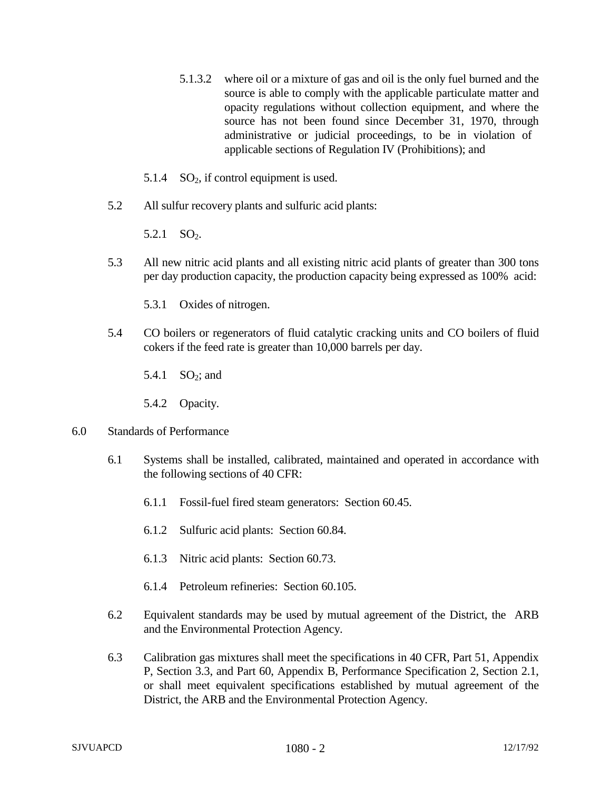- 5.1.3.2 where oil or a mixture of gas and oil is the only fuel burned and the source is able to comply with the applicable particulate matter and opacity regulations without collection equipment, and where the source has not been found since December 31, 1970, through administrative or judicial proceedings, to be in violation of applicable sections of Regulation IV (Prohibitions); and
- 5.1.4  $SO<sub>2</sub>$ , if control equipment is used.
- 5.2 All sulfur recovery plants and sulfuric acid plants:

5.2.1  $SO_2$ .

- 5.3 All new nitric acid plants and all existing nitric acid plants of greater than 300 tons per day production capacity, the production capacity being expressed as 100% acid:
	- 5.3.1 Oxides of nitrogen.
- 5.4 CO boilers or regenerators of fluid catalytic cracking units and CO boilers of fluid cokers if the feed rate is greater than 10,000 barrels per day.
	- 5.4.1  $SO_2$ ; and
	- 5.4.2 Opacity.
- 6.0 Standards of Performance
	- 6.1 Systems shall be installed, calibrated, maintained and operated in accordance with the following sections of 40 CFR:
		- 6.1.1 Fossil-fuel fired steam generators: Section 60.45.
		- 6.1.2 Sulfuric acid plants: Section 60.84.
		- 6.1.3 Nitric acid plants: Section 60.73.
		- 6.1.4 Petroleum refineries: Section 60.105.
	- 6.2 Equivalent standards may be used by mutual agreement of the District, the ARB and the Environmental Protection Agency.
	- 6.3 Calibration gas mixtures shall meet the specifications in 40 CFR, Part 51, Appendix P, Section 3.3, and Part 60, Appendix B, Performance Specification 2, Section 2.1, or shall meet equivalent specifications established by mutual agreement of the District, the ARB and the Environmental Protection Agency.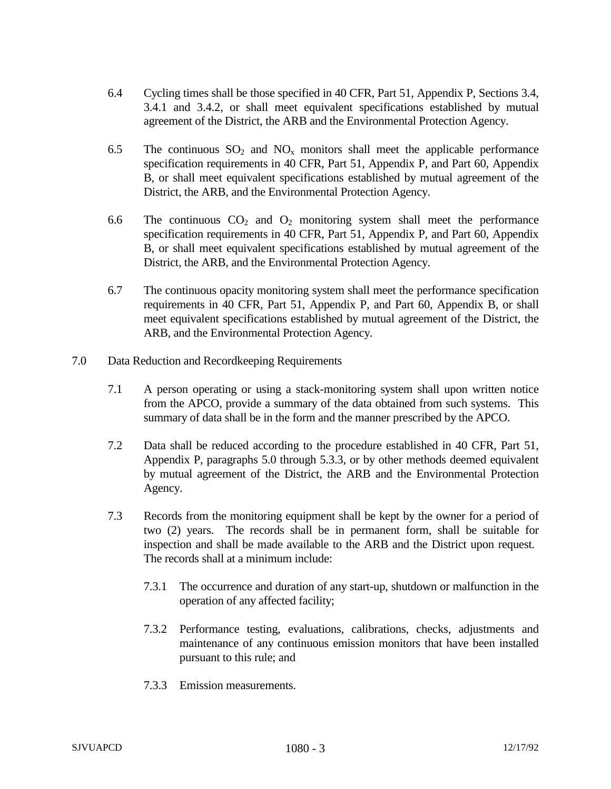- 6.4 Cycling times shall be those specified in 40 CFR, Part 51, Appendix P, Sections 3.4, 3.4.1 and 3.4.2, or shall meet equivalent specifications established by mutual agreement of the District, the ARB and the Environmental Protection Agency.
- 6.5 The continuous  $SO_2$  and  $NO_x$  monitors shall meet the applicable performance specification requirements in 40 CFR, Part 51, Appendix P, and Part 60, Appendix B, or shall meet equivalent specifications established by mutual agreement of the District, the ARB, and the Environmental Protection Agency.
- 6.6 The continuous  $CO_2$  and  $O_2$  monitoring system shall meet the performance specification requirements in 40 CFR, Part 51, Appendix P, and Part 60, Appendix B, or shall meet equivalent specifications established by mutual agreement of the District, the ARB, and the Environmental Protection Agency.
- 6.7 The continuous opacity monitoring system shall meet the performance specification requirements in 40 CFR, Part 51, Appendix P, and Part 60, Appendix B, or shall meet equivalent specifications established by mutual agreement of the District, the ARB, and the Environmental Protection Agency.
- 7.0 Data Reduction and Recordkeeping Requirements
	- 7.1 A person operating or using a stack-monitoring system shall upon written notice from the APCO, provide a summary of the data obtained from such systems. This summary of data shall be in the form and the manner prescribed by the APCO.
	- 7.2 Data shall be reduced according to the procedure established in 40 CFR, Part 51, Appendix P, paragraphs 5.0 through 5.3.3, or by other methods deemed equivalent by mutual agreement of the District, the ARB and the Environmental Protection Agency.
	- 7.3 Records from the monitoring equipment shall be kept by the owner for a period of two (2) years. The records shall be in permanent form, shall be suitable for inspection and shall be made available to the ARB and the District upon request. The records shall at a minimum include:
		- 7.3.1 The occurrence and duration of any start-up, shutdown or malfunction in the operation of any affected facility;
		- 7.3.2 Performance testing, evaluations, calibrations, checks, adjustments and maintenance of any continuous emission monitors that have been installed pursuant to this rule; and
		- 7.3.3 Emission measurements.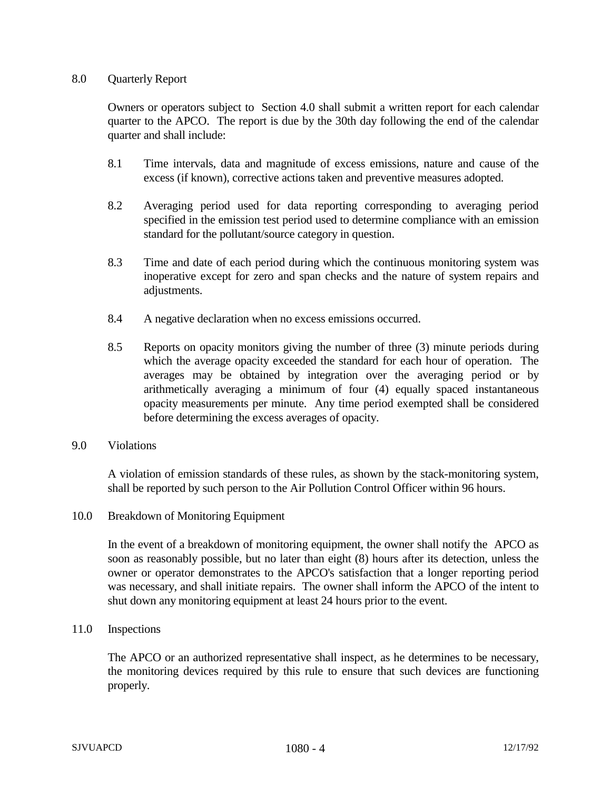## 8.0 Quarterly Report

Owners or operators subject to Section 4.0 shall submit a written report for each calendar quarter to the APCO. The report is due by the 30th day following the end of the calendar quarter and shall include:

- 8.1 Time intervals, data and magnitude of excess emissions, nature and cause of the excess (if known), corrective actions taken and preventive measures adopted.
- 8.2 Averaging period used for data reporting corresponding to averaging period specified in the emission test period used to determine compliance with an emission standard for the pollutant/source category in question.
- 8.3 Time and date of each period during which the continuous monitoring system was inoperative except for zero and span checks and the nature of system repairs and adjustments.
- 8.4 A negative declaration when no excess emissions occurred.
- 8.5 Reports on opacity monitors giving the number of three (3) minute periods during which the average opacity exceeded the standard for each hour of operation. The averages may be obtained by integration over the averaging period or by arithmetically averaging a minimum of four (4) equally spaced instantaneous opacity measurements per minute. Any time period exempted shall be considered before determining the excess averages of opacity.
- 9.0 Violations

A violation of emission standards of these rules, as shown by the stack-monitoring system, shall be reported by such person to the Air Pollution Control Officer within 96 hours.

10.0 Breakdown of Monitoring Equipment

In the event of a breakdown of monitoring equipment, the owner shall notify the APCO as soon as reasonably possible, but no later than eight (8) hours after its detection, unless the owner or operator demonstrates to the APCO's satisfaction that a longer reporting period was necessary, and shall initiate repairs. The owner shall inform the APCO of the intent to shut down any monitoring equipment at least 24 hours prior to the event.

11.0 Inspections

The APCO or an authorized representative shall inspect, as he determines to be necessary, the monitoring devices required by this rule to ensure that such devices are functioning properly.